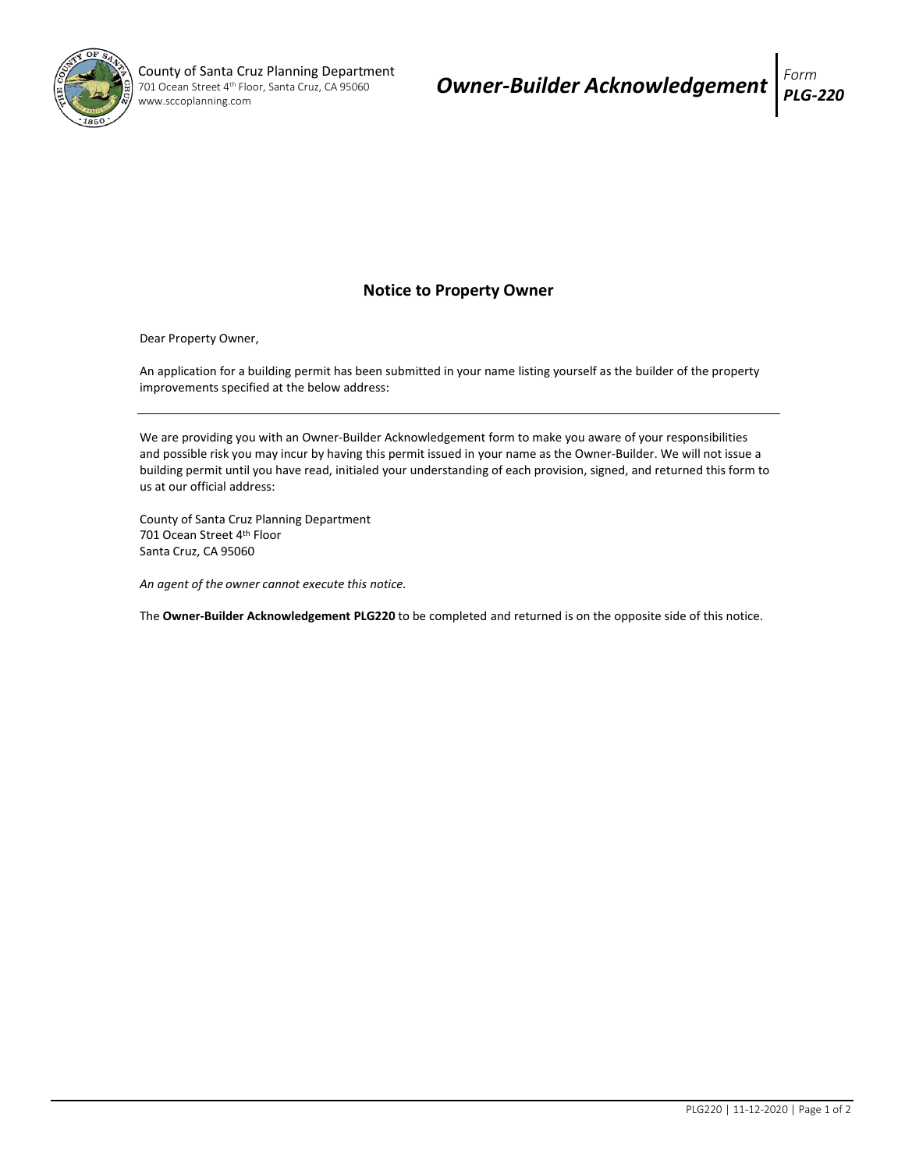

## **Notice to Property Owner**

Dear Property Owner,

An application for a building permit has been submitted in your name listing yourself as the builder of the property improvements specified at the below address:

We are providing you with an Owner-Builder Acknowledgement form to make you aware of your responsibilities and possible risk you may incur by having this permit issued in your name as the Owner-Builder. We will not issue a building permit until you have read, initialed your understanding of each provision, signed, and returned this form to us at our official address:

County of Santa Cruz Planning Department 701 Ocean Street 4<sup>th</sup> Floor Santa Cruz, CA 95060

*An agent of the owner cannot execute this notice.* 

The **Owner-Builder Acknowledgement PLG220** to be completed and returned is on the opposite side of this notice.